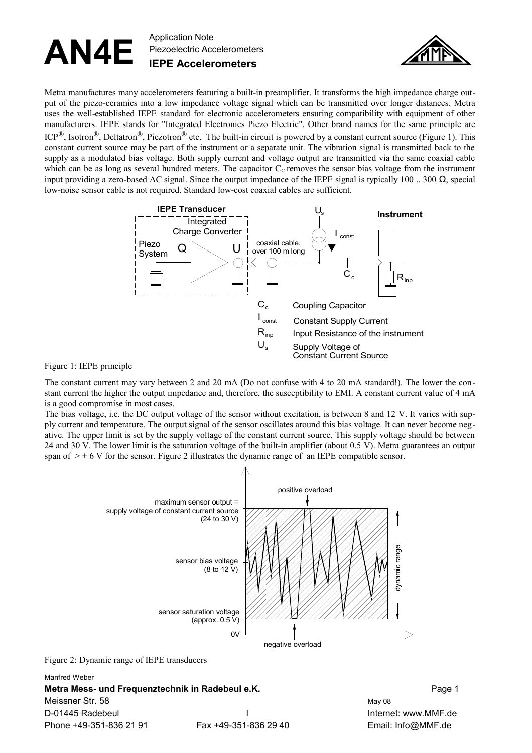## AN4E Application Note Piezoelectric Accelerometers **IEPE Accelerometers**



Metra manufactures many accelerometers featuring a built-in preamplifier. It transforms the high impedance charge output of the piezo-ceramics into a low impedance voltage signal which can be transmitted over longer distances. Metra uses the well-established IEPE standard for electronic accelerometers ensuring compatibility with equipment of other manufacturers. IEPE stands for "Integrated Electronics Piezo Electric". Other brand names for the same principle are  $ICP^{\mathcal{B}}$ , Isotron<sup>®</sup>, Deltatron<sup>®</sup>, Piezotron<sup>®</sup> etc. The built-in circuit is powered by a constant current source [\(Figure 1\)](#page-0-0). This constant current source may be part of the instrument or a separate unit. The vibration signal is transmitted back to the supply as a modulated bias voltage. Both supply current and voltage output are transmitted via the same coaxial cable which can be as long as several hundred meters. The capacitor  $C_c$  removes the sensor bias voltage from the instrument input providing a zero-based AC signal. Since the output impedance of the IEPE signal is typically 100  $\ldots$  300  $\Omega$ , special low-noise sensor cable is not required. Standard low-cost coaxial cables are sufficient.



<span id="page-0-0"></span>Figure 1: IEPE principle

The constant current may vary between 2 and 20 mA (Do not confuse with 4 to 20 mA standard!). The lower the constant current the higher the output impedance and, therefore, the susceptibility to EMI. A constant current value of 4 mA is a good compromise in most cases.

The bias voltage, i.e. the DC output voltage of the sensor without excitation, is between 8 and 12 V. It varies with supply current and temperature. The output signal of the sensor oscillates around this bias voltage. It can never become negative. The upper limit is set by the supply voltage of the constant current source. This supply voltage should be between 24 and 30 V. The lower limit is the saturation voltage of the built-in amplifier (about 0.5 V). Metra guarantees an output span of  $\geq \pm 6$  V for the sensor. [Figure 2](#page-0-1) illustrates the dynamic range of an IEPE compatible sensor.



<span id="page-0-1"></span>Figure 2: Dynamic range of IEPE transducers

Manfred Weber

**Metra Mess- und Frequenztechnik in Radebeul e.K.** Page 1 Meissner Str. 58 May 08 May 08 May 08 May 08 May 08 May 08 May 08 May 08 May 08 May 08 May 08 May 08 May 08 May 08 May 08 May 08 May 08 May 08 May 08 May 08 May 08 May 08 May 08 May 08 May 08 May 08 May 08 May 08 May 08 Ma D-01445 Radebeul **I** I Internet: www.MMF.de Phone +49-351-836 21 91 Fax +49-351-836 29 40 Email: Info@MMF.de